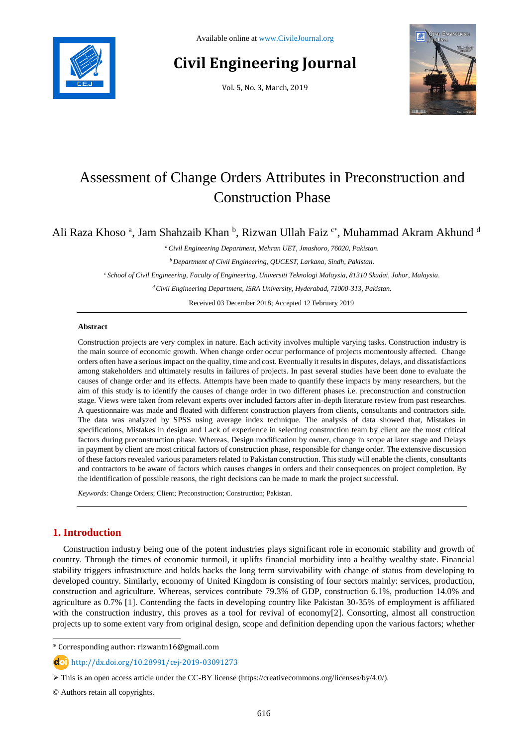

# **Civil Engineering Journal**

Vol. 5, No. 3, March, 2019



## Assessment of Change Orders Attributes in Preconstruction and Construction Phase

Ali Raza Khoso<sup>a</sup>, Jam Shahzaib Khan <sup>b</sup>, Rizwan Ullah Faiz <sup>c\*</sup>, Muhammad Akram Akhund <sup>d</sup>

*<sup>a</sup>Civil Engineering Department, Mehran UET, Jmashoro, 76020, Pakistan.*

*<sup>b</sup>Department of Civil Engineering, QUCEST, Larkana, Sindh, Pakistan.*

*<sup>c</sup>School of Civil Engineering, Faculty of Engineering, Universiti Teknologi Malaysia, 81310 Skudai, Johor, Malaysia.*

*<sup>d</sup>Civil Engineering Department, ISRA University, Hyderabad, 71000-313, Pakistan.*

Received 03 December 2018; Accepted 12 February 2019

#### **Abstract**

Construction projects are very complex in nature. Each activity involves multiple varying tasks. Construction industry is the main source of economic growth. When change order occur performance of projects momentously affected. Change orders often have a serious impact on the quality, time and cost. Eventually it results in disputes, delays, and dissatisfactions among stakeholders and ultimately results in failures of projects. In past several studies have been done to evaluate the causes of change order and its effects. Attempts have been made to quantify these impacts by many researchers, but the aim of this study is to identify the causes of change order in two different phases i.e. preconstruction and construction stage. Views were taken from relevant experts over included factors after in-depth literature review from past researches. A questionnaire was made and floated with different construction players from clients, consultants and contractors side. The data was analyzed by SPSS using average index technique. The analysis of data showed that, Mistakes in specifications, Mistakes in design and Lack of experience in selecting construction team by client are the most critical factors during preconstruction phase. Whereas, Design modification by owner, change in scope at later stage and Delays in payment by client are most critical factors of construction phase, responsible for change order. The extensive discussion of these factors revealed various parameters related to Pakistan construction. This study will enable the clients, consultants and contractors to be aware of factors which causes changes in orders and their consequences on project completion. By the identification of possible reasons, the right decisions can be made to mark the project successful.

*Keywords:* Change Orders; Client; Preconstruction; Construction; Pakistan.

## **1. Introduction**

l

Construction industry being one of the potent industries plays significant role in economic stability and growth of country. Through the times of economic turmoil, it uplifts financial morbidity into a healthy wealthy state. Financial stability triggers infrastructure and holds backs the long term survivability with change of status from developing to developed country. Similarly, economy of United Kingdom is consisting of four sectors mainly: services, production, construction and agriculture. Whereas, services contribute 79.3% of GDP, construction 6.1%, production 14.0% and agriculture as 0.7% [1]. Contending the facts in developing country like Pakistan 30-35% of employment is affiliated with the construction industry, this proves as a tool for revival of economy[2]. Consorting, almost all construction projects up to some extent vary from original design, scope and definition depending upon the various factors; whether

<sup>\*</sup> Corresponding author: rizwantn16@gmail.com

http://dx.doi.org/10.28991/cej-2019-03091273

This is an open access article under the CC-BY license [\(https://creativecommons.org/licenses/by/4.0/\)](https://creativecommons.org/licenses/by/4.0/).

<sup>©</sup> Authors retain all copyrights.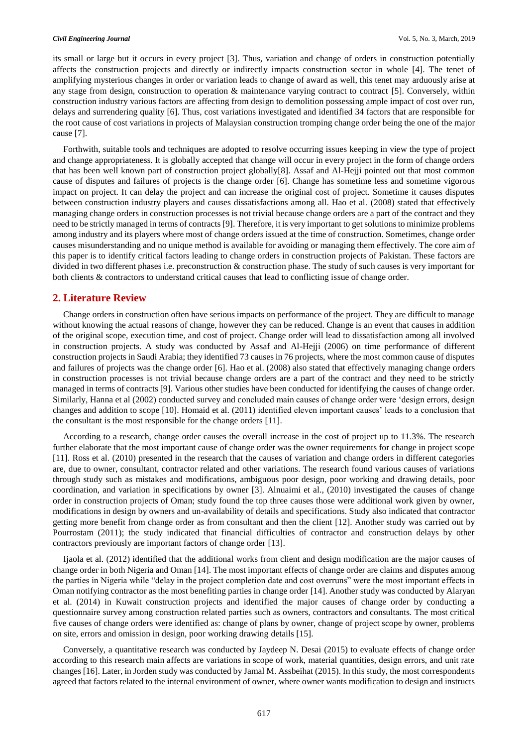#### *Civil Engineering Journal* Vol. 5, No. 3, March, 2019

its small or large but it occurs in every project [3]. Thus, variation and change of orders in construction potentially affects the construction projects and directly or indirectly impacts construction sector in whole [4]. The tenet of amplifying mysterious changes in order or variation leads to change of award as well, this tenet may arduously arise at any stage from design, construction to operation & maintenance varying contract to contract [5]. Conversely, within construction industry various factors are affecting from design to demolition possessing ample impact of cost over run, delays and surrendering quality [6]. Thus, cost variations investigated and identified 34 factors that are responsible for the root cause of cost variations in projects of Malaysian construction tromping change order being the one of the major cause [7].

Forthwith, suitable tools and techniques are adopted to resolve occurring issues keeping in view the type of project and change appropriateness. It is globally accepted that change will occur in every project in the form of change orders that has been well known part of construction project globally[8]. Assaf and Al-Hejji pointed out that most common cause of disputes and failures of projects is the change order [6]. Change has sometime less and sometime vigorous impact on project. It can delay the project and can increase the original cost of project. Sometime it causes disputes between construction industry players and causes dissatisfactions among all. Hao et al. (2008) stated that effectively managing change orders in construction processes is not trivial because change orders are a part of the contract and they need to be strictly managed in terms of contracts [9]. Therefore, it is very important to get solutions to minimize problems among industry and its players where most of change orders issued at the time of construction. Sometimes, change order causes misunderstanding and no unique method is available for avoiding or managing them effectively. The core aim of this paper is to identify critical factors leading to change orders in construction projects of Pakistan. These factors are divided in two different phases i.e. preconstruction & construction phase. The study of such causes is very important for both clients & contractors to understand critical causes that lead to conflicting issue of change order.

#### **2. Literature Review**

Change orders in construction often have serious impacts on performance of the project. They are difficult to manage without knowing the actual reasons of change, however they can be reduced. Change is an event that causes in addition of the original scope, execution time, and cost of project. Change order will lead to dissatisfaction among all involved in construction projects. A study was conducted by Assaf and Al-Hejji (2006) on time performance of different construction projects in Saudi Arabia; they identified 73 causes in 76 projects, where the most common cause of disputes and failures of projects was the change order [6]. Hao et al. (2008) also stated that effectively managing change orders in construction processes is not trivial because change orders are a part of the contract and they need to be strictly managed in terms of contracts [9]. Various other studies have been conducted for identifying the causes of change order. Similarly, Hanna et al (2002) conducted survey and concluded main causes of change order were 'design errors, design changes and addition to scope [10]. Homaid et al. (2011) identified eleven important causes' leads to a conclusion that the consultant is the most responsible for the change orders [11].

According to a research, change order causes the overall increase in the cost of project up to 11.3%. The research further elaborate that the most important cause of change order was the owner requirements for change in project scope [11]. Ross et al. (2010) presented in the research that the causes of variation and change orders in different categories are, due to owner, consultant, contractor related and other variations. The research found various causes of variations through study such as mistakes and modifications, ambiguous poor design, poor working and drawing details, poor coordination, and variation in specifications by owner [3]. Alnuaimi et al., (2010) investigated the causes of change order in construction projects of Oman; study found the top three causes those were additional work given by owner, modifications in design by owners and un-availability of details and specifications. Study also indicated that contractor getting more benefit from change order as from consultant and then the client [12]. Another study was carried out by Pourrostam (2011); the study indicated that financial difficulties of contractor and construction delays by other contractors previously are important factors of change order [13].

Ijaola et al. (2012) identified that the additional works from client and design modification are the major causes of change order in both Nigeria and Oman [14]. The most important effects of change order are claims and disputes among the parties in Nigeria while "delay in the project completion date and cost overruns" were the most important effects in Oman notifying contractor as the most benefiting parties in change order [14]. Another study was conducted by Alaryan et al. (2014) in Kuwait construction projects and identified the major causes of change order by conducting a questionnaire survey among construction related parties such as owners, contractors and consultants. The most critical five causes of change orders were identified as: change of plans by owner, change of project scope by owner, problems on site, errors and omission in design, poor working drawing details [15].

Conversely, a quantitative research was conducted by Jaydeep N. Desai (2015) to evaluate effects of change order according to this research main affects are variations in scope of work, material quantities, design errors, and unit rate changes [16]. Later, in Jorden study was conducted by Jamal M. Assbeihat (2015). In this study, the most correspondents agreed that factors related to the internal environment of owner, where owner wants modification to design and instructs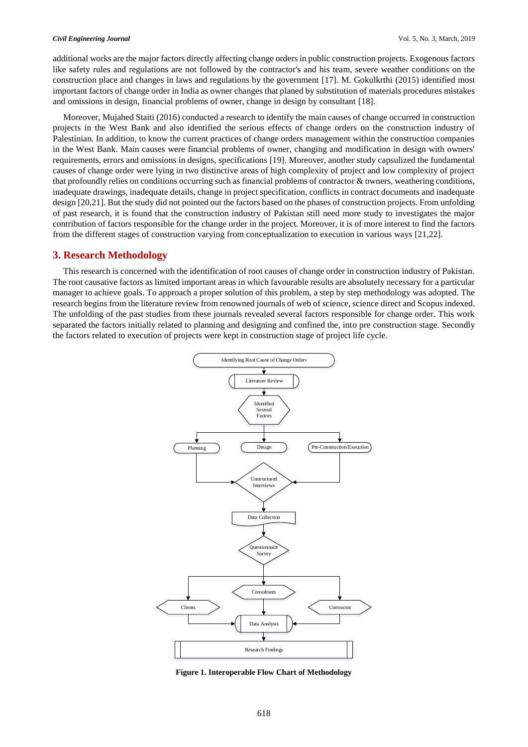#### *Civil Engineering Journal* Vol. 5, No. 3, March, 2019

additional works are the major factors directly affecting change orders in public construction projects. Exogenous factors like safety rules and regulations are not followed by the contractor's and his team, severe weather conditions on the construction place and changes in laws and regulations by the government [17]. M. Gokulkrthi (2015) identified most important factors of change order in India as owner changes that planed by substitution of materials procedures mistakes and omissions in design, financial problems of owner, change in design by consultant [18].

Moreover, Mujahed Staiti (2016) conducted a research to identify the main causes of change occurred in construction projects in the West Bank and also identified the serious effects of change orders on the construction industry of Palestinian. In addition, to know the current practices of change orders management within the construction companies in the West Bank. Main causes were financial problems of owner, changing and modification in design with owners' requirements, errors and omissions in designs, specifications [19]. Moreover, another study capsulized the fundamental causes of change order were lying in two distinctive areas of high complexity of project and low complexity of project that profoundly relies on conditions occurring such as financial problems of contractor & owners, weathering conditions, inadequate drawings, inadequate details, change in project specification, conflicts in contract documents and inadequate design [20,21]. But the study did not pointed out the factors based on the phases of construction projects. From unfolding of past research, it is found that the construction industry of Pakistan still need more study to investigates the major contribution of factors responsible for the change order in the project. Moreover, it is of more interest to find the factors from the different stages of construction varying from conceptualization to execution in various ways [21,22].

#### **3. Research Methodology**

This research is concerned with the identification of root causes of change order in construction industry of Pakistan. The root causative factors as limited important areas in which favourable results are absolutely necessary for a particular manager to achieve goals. To approach a proper solution of this problem, a step by step methodology was adopted. The research begins from the literature review from renowned journals of web of science, science direct and Scopus indexed. The unfolding of the past studies from these journals revealed several factors responsible for change order. This work separated the factors initially related to planning and designing and confined the, into pre construction stage. Secondly the factors related to execution of projects were kept in construction stage of project life cycle.



**Figure 1. Interoperable Flow Chart of Methodology**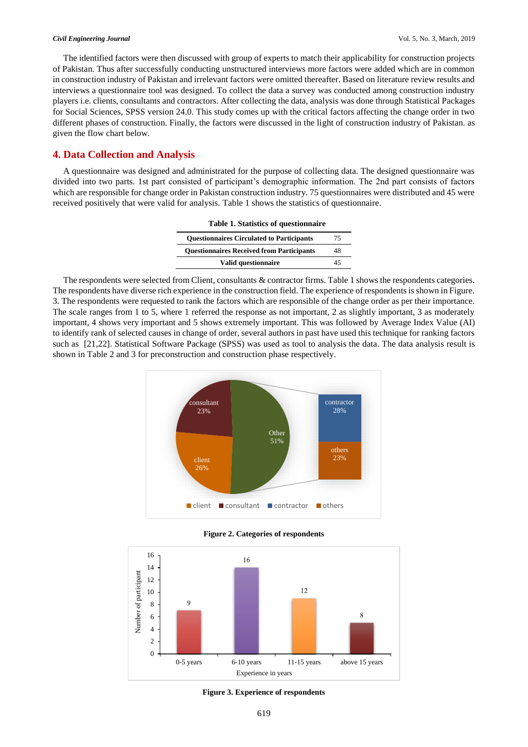The identified factors were then discussed with group of experts to match their applicability for construction projects of Pakistan. Thus after successfully conducting unstructured interviews more factors were added which are in common in construction industry of Pakistan and irrelevant factors were omitted thereafter. Based on literature review results and interviews a questionnaire tool was designed. To collect the data a survey was conducted among construction industry players i.e. clients, consultants and contractors. After collecting the data, analysis was done through Statistical Packages for Social Sciences, SPSS version 24.0. This study comes up with the critical factors affecting the change order in two different phases of construction. Finally, the factors were discussed in the light of construction industry of Pakistan. as given the flow chart below.

## **4. Data Collection and Analysis**

A questionnaire was designed and administrated for the purpose of collecting data. The designed questionnaire was divided into two parts. 1st part consisted of participant's demographic information. The 2nd part consists of factors which are responsible for change order in Pakistan construction industry. 75 questionnaires were distributed and 45 were received positively that were valid for analysis. Table 1 shows the statistics of questionnaire.

| <b>Table 1. Statistics of questionnaire</b>      |    |
|--------------------------------------------------|----|
| <b>Ouestionnaires Circulated to Participants</b> | 75 |
| <b>Questionnaires Received from Participants</b> | 48 |
| Valid questionnaire                              | 45 |

The respondents were selected from Client, consultants & contractor firms. Table 1 shows the respondents categories. The respondents have diverse rich experience in the construction field. The experience of respondents is shown in Figure. 3. The respondents were requested to rank the factors which are responsible of the change order as per their importance. The scale ranges from 1 to 5, where 1 referred the response as not important, 2 as slightly important, 3 as moderately important, 4 shows very important and 5 shows extremely important. This was followed by Average Index Value (AI) to identify rank of selected causes in change of order, several authors in past have used this technique for ranking factors such as [21,22]. Statistical Software Package (SPSS) was used as tool to analysis the data. The data analysis result is shown in Table 2 and 3 for preconstruction and construction phase respectively*.*



**Figure 2. Categories of respondents**



**Figure 3. Experience of respondents**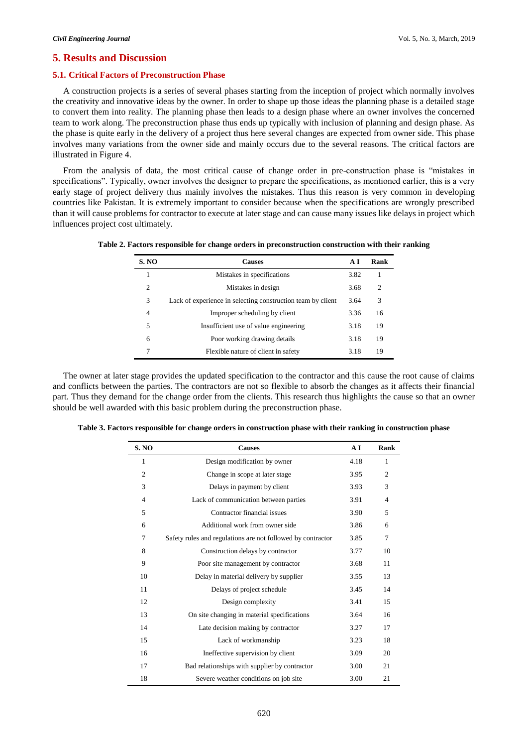## **5. Results and Discussion**

#### **5.1. Critical Factors of Preconstruction Phase**

A construction projects is a series of several phases starting from the inception of project which normally involves the creativity and innovative ideas by the owner. In order to shape up those ideas the planning phase is a detailed stage to convert them into reality. The planning phase then leads to a design phase where an owner involves the concerned team to work along. The preconstruction phase thus ends up typically with inclusion of planning and design phase. As the phase is quite early in the delivery of a project thus here several changes are expected from owner side. This phase involves many variations from the owner side and mainly occurs due to the several reasons. The critical factors are illustrated in Figure 4.

From the analysis of data, the most critical cause of change order in pre-construction phase is "mistakes in specifications". Typically, owner involves the designer to prepare the specifications, as mentioned earlier, this is a very early stage of project delivery thus mainly involves the mistakes. Thus this reason is very common in developing countries like Pakistan. It is extremely important to consider because when the specifications are wrongly prescribed than it will cause problems for contractor to execute at later stage and can cause many issues like delays in project which influences project cost ultimately.

| <b>S. NO</b> | <b>Causes</b>                                               | АI   | Rank |
|--------------|-------------------------------------------------------------|------|------|
|              | Mistakes in specifications                                  | 3.82 |      |
| 2            | Mistakes in design                                          | 3.68 | 2    |
| 3            | Lack of experience in selecting construction team by client | 3.64 | 3    |
| 4            | Improper scheduling by client                               | 3.36 | 16   |
| 5            | Insufficient use of value engineering                       | 3.18 | 19   |
| 6            | Poor working drawing details                                | 3.18 | 19   |
|              | Flexible nature of client in safety                         | 3.18 | 19   |

**Table 2. Factors responsible for change orders in preconstruction construction with their ranking**

The owner at later stage provides the updated specification to the contractor and this cause the root cause of claims and conflicts between the parties. The contractors are not so flexible to absorb the changes as it affects their financial part. Thus they demand for the change order from the clients. This research thus highlights the cause so that an owner should be well awarded with this basic problem during the preconstruction phase.

| <b>S. NO</b>   | <b>Causes</b>                                               | AI   | Rank           |
|----------------|-------------------------------------------------------------|------|----------------|
| 1              | Design modification by owner                                | 4.18 | 1              |
| $\overline{2}$ | Change in scope at later stage                              | 3.95 | $\overline{2}$ |
| 3              | Delays in payment by client                                 | 3.93 | 3              |
| $\overline{4}$ | Lack of communication between parties                       | 3.91 | $\overline{4}$ |
| 5              | Contractor financial issues                                 | 3.90 | 5              |
| 6              | Additional work from owner side                             | 3.86 | 6              |
| $\overline{7}$ | Safety rules and regulations are not followed by contractor | 3.85 | 7              |
| 8              | Construction delays by contractor                           | 3.77 | 10             |
| 9              | Poor site management by contractor                          | 3.68 | 11             |
| 10             | Delay in material delivery by supplier                      | 3.55 | 13             |
| 11             | Delays of project schedule                                  | 3.45 | 14             |
| 12             | Design complexity                                           | 3.41 | 15             |
| 13             | On site changing in material specifications                 | 3.64 | 16             |
| 14             | Late decision making by contractor                          | 3.27 | 17             |
| 15             | Lack of workmanship                                         | 3.23 | 18             |
| 16             | Ineffective supervision by client                           | 3.09 | 20             |
| 17             | Bad relationships with supplier by contractor               | 3.00 | 21             |
| 18             | Severe weather conditions on job site                       | 3.00 | 21             |

**Table 3. Factors responsible for change orders in construction phase with their ranking in construction phase**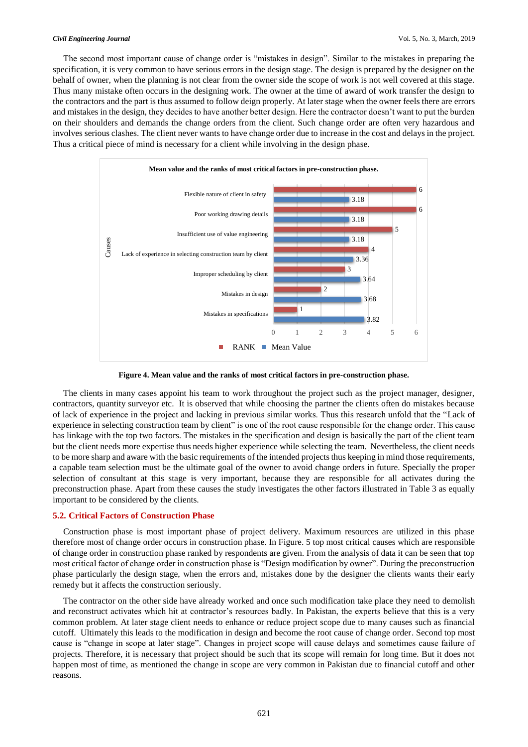#### *Civil Engineering Journal* Vol. 5, No. 3, March, 2019

The second most important cause of change order is "mistakes in design". Similar to the mistakes in preparing the specification, it is very common to have serious errors in the design stage. The design is prepared by the designer on the behalf of owner, when the planning is not clear from the owner side the scope of work is not well covered at this stage. Thus many mistake often occurs in the designing work. The owner at the time of award of work transfer the design to the contractors and the part is thus assumed to follow deign properly. At later stage when the owner feels there are errors and mistakes in the design, they decides to have another better design. Here the contractor doesn't want to put the burden on their shoulders and demands the change orders from the client. Such change order are often very hazardous and involves serious clashes. The client never wants to have change order due to increase in the cost and delays in the project. Thus a critical piece of mind is necessary for a client while involving in the design phase.



**Figure 4. Mean value and the ranks of most critical factors in pre-construction phase.**

The clients in many cases appoint his team to work throughout the project such as the project manager, designer, contractors, quantity surveyor etc. It is observed that while choosing the partner the clients often do mistakes because of lack of experience in the project and lacking in previous similar works. Thus this research unfold that the "Lack of experience in selecting construction team by client" is one of the root cause responsible for the change order. This cause has linkage with the top two factors. The mistakes in the specification and design is basically the part of the client team but the client needs more expertise thus needs higher experience while selecting the team. Nevertheless, the client needs to be more sharp and aware with the basic requirements of the intended projects thus keeping in mind those requirements, a capable team selection must be the ultimate goal of the owner to avoid change orders in future. Specially the proper selection of consultant at this stage is very important, because they are responsible for all activates during the preconstruction phase. Apart from these causes the study investigates the other factors illustrated in Table 3 as equally important to be considered by the clients.

#### **5.2. Critical Factors of Construction Phase**

Construction phase is most important phase of project delivery. Maximum resources are utilized in this phase therefore most of change order occurs in construction phase. In Figure. 5 top most critical causes which are responsible of change order in construction phase ranked by respondents are given. From the analysis of data it can be seen that top most critical factor of change order in construction phase is "Design modification by owner". During the preconstruction phase particularly the design stage, when the errors and, mistakes done by the designer the clients wants their early remedy but it affects the construction seriously.

The contractor on the other side have already worked and once such modification take place they need to demolish and reconstruct activates which hit at contractor's resources badly. In Pakistan, the experts believe that this is a very common problem. At later stage client needs to enhance or reduce project scope due to many causes such as financial cutoff. Ultimately this leads to the modification in design and become the root cause of change order. Second top most cause is "change in scope at later stage". Changes in project scope will cause delays and sometimes cause failure of projects. Therefore, it is necessary that project should be such that its scope will remain for long time. But it does not happen most of time, as mentioned the change in scope are very common in Pakistan due to financial cutoff and other reasons.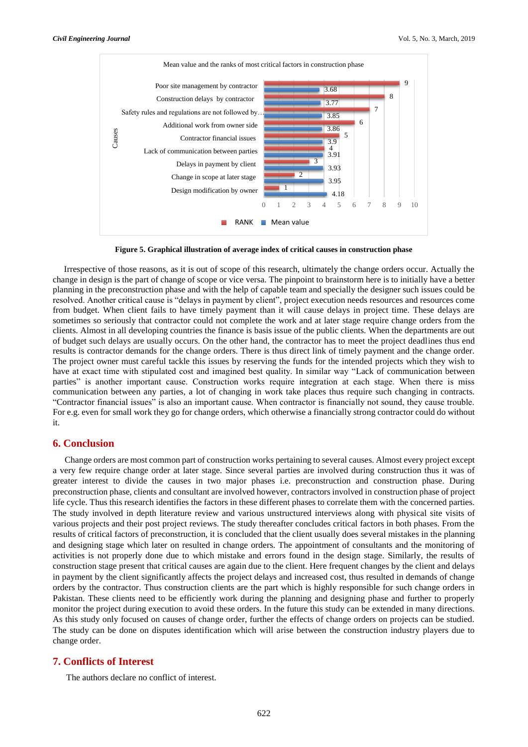

**Figure 5. Graphical illustration of average index of critical causes in construction phase**

Irrespective of those reasons, as it is out of scope of this research, ultimately the change orders occur. Actually the change in design is the part of change of scope or vice versa. The pinpoint to brainstorm here is to initially have a better planning in the preconstruction phase and with the help of capable team and specially the designer such issues could be resolved. Another critical cause is "delays in payment by client", project execution needs resources and resources come from budget. When client fails to have timely payment than it will cause delays in project time. These delays are sometimes so seriously that contractor could not complete the work and at later stage require change orders from the clients. Almost in all developing countries the finance is basis issue of the public clients. When the departments are out of budget such delays are usually occurs. On the other hand, the contractor has to meet the project deadlines thus end results is contractor demands for the change orders. There is thus direct link of timely payment and the change order. The project owner must careful tackle this issues by reserving the funds for the intended projects which they wish to have at exact time with stipulated cost and imagined best quality. In similar way "Lack of communication between parties" is another important cause. Construction works require integration at each stage. When there is miss communication between any parties, a lot of changing in work take places thus require such changing in contracts. "Contractor financial issues" is also an important cause. When contractor is financially not sound, they cause trouble. For e.g. even for small work they go for change orders, which otherwise a financially strong contractor could do without it.

## **6. Conclusion**

Change orders are most common part of construction works pertaining to several causes. Almost every project except a very few require change order at later stage. Since several parties are involved during construction thus it was of greater interest to divide the causes in two major phases i.e. preconstruction and construction phase. During preconstruction phase, clients and consultant are involved however, contractors involved in construction phase of project life cycle. Thus this research identifies the factors in these different phases to correlate them with the concerned parties. The study involved in depth literature review and various unstructured interviews along with physical site visits of various projects and their post project reviews. The study thereafter concludes critical factors in both phases. From the results of critical factors of preconstruction, it is concluded that the client usually does several mistakes in the planning and designing stage which later on resulted in change orders. The appointment of consultants and the monitoring of activities is not properly done due to which mistake and errors found in the design stage. Similarly, the results of construction stage present that critical causes are again due to the client. Here frequent changes by the client and delays in payment by the client significantly affects the project delays and increased cost, thus resulted in demands of change orders by the contractor. Thus construction clients are the part which is highly responsible for such change orders in Pakistan. These clients need to be efficiently work during the planning and designing phase and further to properly monitor the project during execution to avoid these orders. In the future this study can be extended in many directions. As this study only focused on causes of change order, further the effects of change orders on projects can be studied. The study can be done on disputes identification which will arise between the construction industry players due to change order.

## **7. Conflicts of Interest**

The authors declare no conflict of interest.